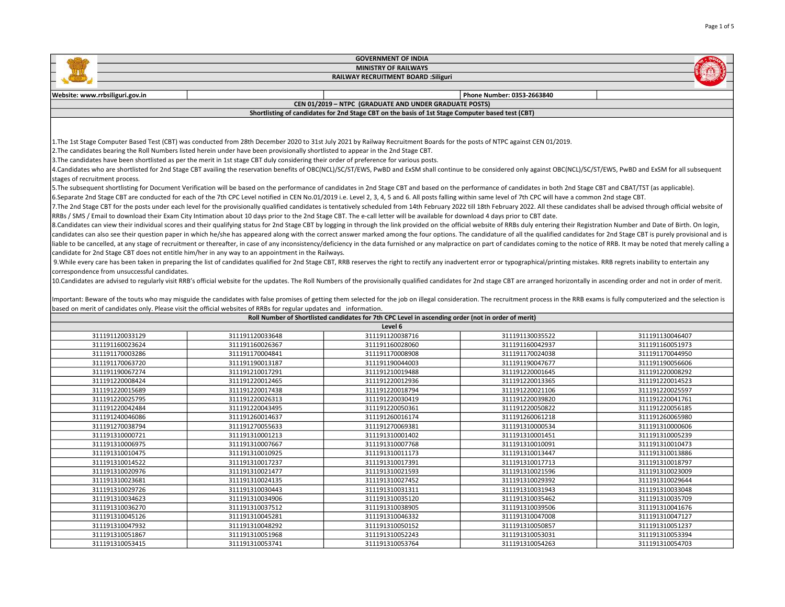| <b>GOVERNMENT OF INDIA</b>                                                                                                                                                                                                                                                                                                                                                                                                                                                                                                                                                                                                                                                                                                                                                                                                                                                                                                                                                                                                                                                                                                                                                                                                                                                                                                                                                                                                                                                                                                                                                                                                                                                                                                                                                                                                                                                                                                                                                                                                                                                                                                                                                                                                                                                                                                                                                                                                                                                                                                                                                                                                                                                                                                                                                                                                                                                                                                      |                                                                                                                    |                                                                                                    |                            |                 |  |  |
|---------------------------------------------------------------------------------------------------------------------------------------------------------------------------------------------------------------------------------------------------------------------------------------------------------------------------------------------------------------------------------------------------------------------------------------------------------------------------------------------------------------------------------------------------------------------------------------------------------------------------------------------------------------------------------------------------------------------------------------------------------------------------------------------------------------------------------------------------------------------------------------------------------------------------------------------------------------------------------------------------------------------------------------------------------------------------------------------------------------------------------------------------------------------------------------------------------------------------------------------------------------------------------------------------------------------------------------------------------------------------------------------------------------------------------------------------------------------------------------------------------------------------------------------------------------------------------------------------------------------------------------------------------------------------------------------------------------------------------------------------------------------------------------------------------------------------------------------------------------------------------------------------------------------------------------------------------------------------------------------------------------------------------------------------------------------------------------------------------------------------------------------------------------------------------------------------------------------------------------------------------------------------------------------------------------------------------------------------------------------------------------------------------------------------------------------------------------------------------------------------------------------------------------------------------------------------------------------------------------------------------------------------------------------------------------------------------------------------------------------------------------------------------------------------------------------------------------------------------------------------------------------------------------------------------|--------------------------------------------------------------------------------------------------------------------|----------------------------------------------------------------------------------------------------|----------------------------|-----------------|--|--|
|                                                                                                                                                                                                                                                                                                                                                                                                                                                                                                                                                                                                                                                                                                                                                                                                                                                                                                                                                                                                                                                                                                                                                                                                                                                                                                                                                                                                                                                                                                                                                                                                                                                                                                                                                                                                                                                                                                                                                                                                                                                                                                                                                                                                                                                                                                                                                                                                                                                                                                                                                                                                                                                                                                                                                                                                                                                                                                                                 |                                                                                                                    | <b>MINISTRY OF RAILWAYS</b>                                                                        |                            |                 |  |  |
|                                                                                                                                                                                                                                                                                                                                                                                                                                                                                                                                                                                                                                                                                                                                                                                                                                                                                                                                                                                                                                                                                                                                                                                                                                                                                                                                                                                                                                                                                                                                                                                                                                                                                                                                                                                                                                                                                                                                                                                                                                                                                                                                                                                                                                                                                                                                                                                                                                                                                                                                                                                                                                                                                                                                                                                                                                                                                                                                 | <b>RAILWAY RECRUITMENT BOARD : Siliguri</b>                                                                        |                                                                                                    |                            |                 |  |  |
|                                                                                                                                                                                                                                                                                                                                                                                                                                                                                                                                                                                                                                                                                                                                                                                                                                                                                                                                                                                                                                                                                                                                                                                                                                                                                                                                                                                                                                                                                                                                                                                                                                                                                                                                                                                                                                                                                                                                                                                                                                                                                                                                                                                                                                                                                                                                                                                                                                                                                                                                                                                                                                                                                                                                                                                                                                                                                                                                 |                                                                                                                    |                                                                                                    |                            |                 |  |  |
| Website: www.rrbsiliguri.gov.in                                                                                                                                                                                                                                                                                                                                                                                                                                                                                                                                                                                                                                                                                                                                                                                                                                                                                                                                                                                                                                                                                                                                                                                                                                                                                                                                                                                                                                                                                                                                                                                                                                                                                                                                                                                                                                                                                                                                                                                                                                                                                                                                                                                                                                                                                                                                                                                                                                                                                                                                                                                                                                                                                                                                                                                                                                                                                                 |                                                                                                                    |                                                                                                    | Phone Number: 0353-2663840 |                 |  |  |
|                                                                                                                                                                                                                                                                                                                                                                                                                                                                                                                                                                                                                                                                                                                                                                                                                                                                                                                                                                                                                                                                                                                                                                                                                                                                                                                                                                                                                                                                                                                                                                                                                                                                                                                                                                                                                                                                                                                                                                                                                                                                                                                                                                                                                                                                                                                                                                                                                                                                                                                                                                                                                                                                                                                                                                                                                                                                                                                                 |                                                                                                                    | CEN 01/2019 - NTPC (GRADUATE AND UNDER GRADUATE POSTS)                                             |                            |                 |  |  |
|                                                                                                                                                                                                                                                                                                                                                                                                                                                                                                                                                                                                                                                                                                                                                                                                                                                                                                                                                                                                                                                                                                                                                                                                                                                                                                                                                                                                                                                                                                                                                                                                                                                                                                                                                                                                                                                                                                                                                                                                                                                                                                                                                                                                                                                                                                                                                                                                                                                                                                                                                                                                                                                                                                                                                                                                                                                                                                                                 |                                                                                                                    | Shortlisting of candidates for 2nd Stage CBT on the basis of 1st Stage Computer based test (CBT)   |                            |                 |  |  |
|                                                                                                                                                                                                                                                                                                                                                                                                                                                                                                                                                                                                                                                                                                                                                                                                                                                                                                                                                                                                                                                                                                                                                                                                                                                                                                                                                                                                                                                                                                                                                                                                                                                                                                                                                                                                                                                                                                                                                                                                                                                                                                                                                                                                                                                                                                                                                                                                                                                                                                                                                                                                                                                                                                                                                                                                                                                                                                                                 |                                                                                                                    |                                                                                                    |                            |                 |  |  |
| 1. The 1st Stage Computer Based Test (CBT) was conducted from 28th December 2020 to 31st July 2021 by Railway Recruitment Boards for the posts of NTPC against CEN 01/2019.<br>2. The candidates bearing the Roll Numbers listed herein under have been provisionally shortlisted to appear in the 2nd Stage CBT.<br>3. The candidates have been shortlisted as per the merit in 1st stage CBT duly considering their order of preference for various posts.<br>4. Candidates who are shortlisted for 2nd Stage CBT availing the reservation benefits of OBC(NCL)/SC/ST/EWS, PwBD and ExSM shall continue to be considered only against OBC(NCL)/SC/ST/EWS, PwBD and ExSM for all subsequent<br>stages of recruitment process.<br>5. The subsequent shortlisting for Document Verification will be based on the performance of candidates in 2nd Stage CBT and based on the performance of candidates in both 2nd Stage CBT and CBAT/TST (as applicable).<br> 6.Separate 2nd Stage CBT are conducted for each of the 7th CPC Level notified in CEN No.01/2019 i.e. Level 2, 3, 4, 5 and 6. All posts falling within same level of 7th CPC will have a common 2nd stage CBT.<br>7. The 2nd Stage CBT for the posts under each level for the provisionally qualified candidates is tentatively scheduled from 14th February 2022 till 18th February 2022. All these candidates shall be advised through officia<br>RRBs / SMS / Email to download their Exam City Intimation about 10 days prior to the 2nd Stage CBT. The e-call letter will be available for download 4 days prior to CBT date.<br>8. Candidates can view their individual scores and their qualifying status for 2nd Stage CBT by logging in through the link provided on the official website of RRBs duly entering their Registration Number and Date of Birth<br>candidates can also see their question paper in which he/she has appeared along with the correct answer marked among the four options. The candidature of all the qualified candidates for 2nd Stage CBT is purely provisional<br>liable to be cancelled, at any stage of recruitment or thereafter, in case of any inconsistency/deficiency in the data furnished or any malpractice on part of candidates coming to the notice of RRB. It may be noted that me<br>candidate for 2nd Stage CBT does not entitle him/her in any way to an appointment in the Railways.<br>9. While every care has been taken in preparing the list of candidates qualified for 2nd Stage CBT, RRB reserves the right to rectify any inadvertent error or typographical/printing mistakes. RRB regrets inability to enter<br>correspondence from unsuccessful candidates.<br>10. Candidates are advised to regularly visit RRB's official website for the updates. The Roll Numbers of the provisionally qualified candidates for 2nd stage CBT are arranged horizontally in ascending order and not in ord |                                                                                                                    |                                                                                                    |                            |                 |  |  |
|                                                                                                                                                                                                                                                                                                                                                                                                                                                                                                                                                                                                                                                                                                                                                                                                                                                                                                                                                                                                                                                                                                                                                                                                                                                                                                                                                                                                                                                                                                                                                                                                                                                                                                                                                                                                                                                                                                                                                                                                                                                                                                                                                                                                                                                                                                                                                                                                                                                                                                                                                                                                                                                                                                                                                                                                                                                                                                                                 | based on merit of candidates only. Please visit the official websites of RRBs for regular updates and information. |                                                                                                    |                            |                 |  |  |
|                                                                                                                                                                                                                                                                                                                                                                                                                                                                                                                                                                                                                                                                                                                                                                                                                                                                                                                                                                                                                                                                                                                                                                                                                                                                                                                                                                                                                                                                                                                                                                                                                                                                                                                                                                                                                                                                                                                                                                                                                                                                                                                                                                                                                                                                                                                                                                                                                                                                                                                                                                                                                                                                                                                                                                                                                                                                                                                                 |                                                                                                                    | Roll Number of Shortlisted candidates for 7th CPC Level in ascending order (not in order of merit) |                            |                 |  |  |
|                                                                                                                                                                                                                                                                                                                                                                                                                                                                                                                                                                                                                                                                                                                                                                                                                                                                                                                                                                                                                                                                                                                                                                                                                                                                                                                                                                                                                                                                                                                                                                                                                                                                                                                                                                                                                                                                                                                                                                                                                                                                                                                                                                                                                                                                                                                                                                                                                                                                                                                                                                                                                                                                                                                                                                                                                                                                                                                                 |                                                                                                                    | Level 6                                                                                            |                            |                 |  |  |
| 311191120033129                                                                                                                                                                                                                                                                                                                                                                                                                                                                                                                                                                                                                                                                                                                                                                                                                                                                                                                                                                                                                                                                                                                                                                                                                                                                                                                                                                                                                                                                                                                                                                                                                                                                                                                                                                                                                                                                                                                                                                                                                                                                                                                                                                                                                                                                                                                                                                                                                                                                                                                                                                                                                                                                                                                                                                                                                                                                                                                 | 311191120033648                                                                                                    | 311191120038716                                                                                    | 311191130035522            | 311191130046407 |  |  |
| 311191160023624                                                                                                                                                                                                                                                                                                                                                                                                                                                                                                                                                                                                                                                                                                                                                                                                                                                                                                                                                                                                                                                                                                                                                                                                                                                                                                                                                                                                                                                                                                                                                                                                                                                                                                                                                                                                                                                                                                                                                                                                                                                                                                                                                                                                                                                                                                                                                                                                                                                                                                                                                                                                                                                                                                                                                                                                                                                                                                                 | 311191160026367                                                                                                    | 311191160028060                                                                                    | 311191160042937            | 311191160051973 |  |  |
| 311191170003286                                                                                                                                                                                                                                                                                                                                                                                                                                                                                                                                                                                                                                                                                                                                                                                                                                                                                                                                                                                                                                                                                                                                                                                                                                                                                                                                                                                                                                                                                                                                                                                                                                                                                                                                                                                                                                                                                                                                                                                                                                                                                                                                                                                                                                                                                                                                                                                                                                                                                                                                                                                                                                                                                                                                                                                                                                                                                                                 | 311191170004841                                                                                                    | 311191170008908                                                                                    | 311191170024038            | 311191170044950 |  |  |
| 311191170063720                                                                                                                                                                                                                                                                                                                                                                                                                                                                                                                                                                                                                                                                                                                                                                                                                                                                                                                                                                                                                                                                                                                                                                                                                                                                                                                                                                                                                                                                                                                                                                                                                                                                                                                                                                                                                                                                                                                                                                                                                                                                                                                                                                                                                                                                                                                                                                                                                                                                                                                                                                                                                                                                                                                                                                                                                                                                                                                 | 311191190013187                                                                                                    | 311191190044003                                                                                    | 311191190047677            | 311191190056606 |  |  |
| 311191190067274                                                                                                                                                                                                                                                                                                                                                                                                                                                                                                                                                                                                                                                                                                                                                                                                                                                                                                                                                                                                                                                                                                                                                                                                                                                                                                                                                                                                                                                                                                                                                                                                                                                                                                                                                                                                                                                                                                                                                                                                                                                                                                                                                                                                                                                                                                                                                                                                                                                                                                                                                                                                                                                                                                                                                                                                                                                                                                                 | 311191210017291                                                                                                    | 311191210019488                                                                                    | 311191220001645            | 311191220008292 |  |  |
| 311191220008424                                                                                                                                                                                                                                                                                                                                                                                                                                                                                                                                                                                                                                                                                                                                                                                                                                                                                                                                                                                                                                                                                                                                                                                                                                                                                                                                                                                                                                                                                                                                                                                                                                                                                                                                                                                                                                                                                                                                                                                                                                                                                                                                                                                                                                                                                                                                                                                                                                                                                                                                                                                                                                                                                                                                                                                                                                                                                                                 | 311191220012465                                                                                                    | 311191220012936                                                                                    | 311191220013365            | 311191220014523 |  |  |
| 311191220015689                                                                                                                                                                                                                                                                                                                                                                                                                                                                                                                                                                                                                                                                                                                                                                                                                                                                                                                                                                                                                                                                                                                                                                                                                                                                                                                                                                                                                                                                                                                                                                                                                                                                                                                                                                                                                                                                                                                                                                                                                                                                                                                                                                                                                                                                                                                                                                                                                                                                                                                                                                                                                                                                                                                                                                                                                                                                                                                 | 311191220017438                                                                                                    | 311191220018794                                                                                    | 311191220021106            | 311191220025597 |  |  |
| 311191220025795                                                                                                                                                                                                                                                                                                                                                                                                                                                                                                                                                                                                                                                                                                                                                                                                                                                                                                                                                                                                                                                                                                                                                                                                                                                                                                                                                                                                                                                                                                                                                                                                                                                                                                                                                                                                                                                                                                                                                                                                                                                                                                                                                                                                                                                                                                                                                                                                                                                                                                                                                                                                                                                                                                                                                                                                                                                                                                                 | 311191220026313                                                                                                    | 311191220030419                                                                                    | 311191220039820            | 311191220041761 |  |  |
| 311191220042484                                                                                                                                                                                                                                                                                                                                                                                                                                                                                                                                                                                                                                                                                                                                                                                                                                                                                                                                                                                                                                                                                                                                                                                                                                                                                                                                                                                                                                                                                                                                                                                                                                                                                                                                                                                                                                                                                                                                                                                                                                                                                                                                                                                                                                                                                                                                                                                                                                                                                                                                                                                                                                                                                                                                                                                                                                                                                                                 | 311191220043495                                                                                                    | 311191220050361                                                                                    | 311191220050822            | 311191220056185 |  |  |
| 311191240046086                                                                                                                                                                                                                                                                                                                                                                                                                                                                                                                                                                                                                                                                                                                                                                                                                                                                                                                                                                                                                                                                                                                                                                                                                                                                                                                                                                                                                                                                                                                                                                                                                                                                                                                                                                                                                                                                                                                                                                                                                                                                                                                                                                                                                                                                                                                                                                                                                                                                                                                                                                                                                                                                                                                                                                                                                                                                                                                 | 311191260014637                                                                                                    | 311191260016174                                                                                    | 311191260061218            | 311191260065980 |  |  |
| 311191270038794                                                                                                                                                                                                                                                                                                                                                                                                                                                                                                                                                                                                                                                                                                                                                                                                                                                                                                                                                                                                                                                                                                                                                                                                                                                                                                                                                                                                                                                                                                                                                                                                                                                                                                                                                                                                                                                                                                                                                                                                                                                                                                                                                                                                                                                                                                                                                                                                                                                                                                                                                                                                                                                                                                                                                                                                                                                                                                                 | 311191270055633                                                                                                    | 311191270069381                                                                                    | 311191310000534            | 311191310000606 |  |  |
| 311191310000721                                                                                                                                                                                                                                                                                                                                                                                                                                                                                                                                                                                                                                                                                                                                                                                                                                                                                                                                                                                                                                                                                                                                                                                                                                                                                                                                                                                                                                                                                                                                                                                                                                                                                                                                                                                                                                                                                                                                                                                                                                                                                                                                                                                                                                                                                                                                                                                                                                                                                                                                                                                                                                                                                                                                                                                                                                                                                                                 | 311191310001213                                                                                                    | 311191310001402                                                                                    | 311191310001451            | 311191310005239 |  |  |
| 311191310006975                                                                                                                                                                                                                                                                                                                                                                                                                                                                                                                                                                                                                                                                                                                                                                                                                                                                                                                                                                                                                                                                                                                                                                                                                                                                                                                                                                                                                                                                                                                                                                                                                                                                                                                                                                                                                                                                                                                                                                                                                                                                                                                                                                                                                                                                                                                                                                                                                                                                                                                                                                                                                                                                                                                                                                                                                                                                                                                 | 311191310007667                                                                                                    | 311191310007768                                                                                    | 311191310010091            | 311191310010473 |  |  |
| 311191310010475                                                                                                                                                                                                                                                                                                                                                                                                                                                                                                                                                                                                                                                                                                                                                                                                                                                                                                                                                                                                                                                                                                                                                                                                                                                                                                                                                                                                                                                                                                                                                                                                                                                                                                                                                                                                                                                                                                                                                                                                                                                                                                                                                                                                                                                                                                                                                                                                                                                                                                                                                                                                                                                                                                                                                                                                                                                                                                                 | 311191310010925                                                                                                    | 311191310011173                                                                                    | 311191310013447            | 311191310013886 |  |  |
| 311191310014522                                                                                                                                                                                                                                                                                                                                                                                                                                                                                                                                                                                                                                                                                                                                                                                                                                                                                                                                                                                                                                                                                                                                                                                                                                                                                                                                                                                                                                                                                                                                                                                                                                                                                                                                                                                                                                                                                                                                                                                                                                                                                                                                                                                                                                                                                                                                                                                                                                                                                                                                                                                                                                                                                                                                                                                                                                                                                                                 | 311191310017237                                                                                                    | 311191310017391                                                                                    | 311191310017713            | 311191310018797 |  |  |
| 311191310020976                                                                                                                                                                                                                                                                                                                                                                                                                                                                                                                                                                                                                                                                                                                                                                                                                                                                                                                                                                                                                                                                                                                                                                                                                                                                                                                                                                                                                                                                                                                                                                                                                                                                                                                                                                                                                                                                                                                                                                                                                                                                                                                                                                                                                                                                                                                                                                                                                                                                                                                                                                                                                                                                                                                                                                                                                                                                                                                 | 311191310021477                                                                                                    | 311191310021593                                                                                    | 311191310021596            | 311191310023009 |  |  |
| 311191310023681                                                                                                                                                                                                                                                                                                                                                                                                                                                                                                                                                                                                                                                                                                                                                                                                                                                                                                                                                                                                                                                                                                                                                                                                                                                                                                                                                                                                                                                                                                                                                                                                                                                                                                                                                                                                                                                                                                                                                                                                                                                                                                                                                                                                                                                                                                                                                                                                                                                                                                                                                                                                                                                                                                                                                                                                                                                                                                                 | 311191310024135                                                                                                    | 311191310027452                                                                                    | 311191310029392            | 311191310029644 |  |  |
| 311191310029726                                                                                                                                                                                                                                                                                                                                                                                                                                                                                                                                                                                                                                                                                                                                                                                                                                                                                                                                                                                                                                                                                                                                                                                                                                                                                                                                                                                                                                                                                                                                                                                                                                                                                                                                                                                                                                                                                                                                                                                                                                                                                                                                                                                                                                                                                                                                                                                                                                                                                                                                                                                                                                                                                                                                                                                                                                                                                                                 | 311191310030443                                                                                                    | 311191310031311                                                                                    | 311191310031943            | 311191310033048 |  |  |
| 311191310034623                                                                                                                                                                                                                                                                                                                                                                                                                                                                                                                                                                                                                                                                                                                                                                                                                                                                                                                                                                                                                                                                                                                                                                                                                                                                                                                                                                                                                                                                                                                                                                                                                                                                                                                                                                                                                                                                                                                                                                                                                                                                                                                                                                                                                                                                                                                                                                                                                                                                                                                                                                                                                                                                                                                                                                                                                                                                                                                 | 311191310034906                                                                                                    | 311191310035120                                                                                    | 311191310035462            | 311191310035709 |  |  |
| 311191310036270                                                                                                                                                                                                                                                                                                                                                                                                                                                                                                                                                                                                                                                                                                                                                                                                                                                                                                                                                                                                                                                                                                                                                                                                                                                                                                                                                                                                                                                                                                                                                                                                                                                                                                                                                                                                                                                                                                                                                                                                                                                                                                                                                                                                                                                                                                                                                                                                                                                                                                                                                                                                                                                                                                                                                                                                                                                                                                                 | 311191310037512                                                                                                    | 311191310038905                                                                                    | 311191310039506            | 311191310041676 |  |  |

 311191310045281 311191310046332 311191310047008 311191310047127 311191310048292 311191310050152 311191310050857 311191310051237 311191310051968 311191310052243 311191310053031 311191310053394 311191310053741 311191310053764 311191310054263 311191310054703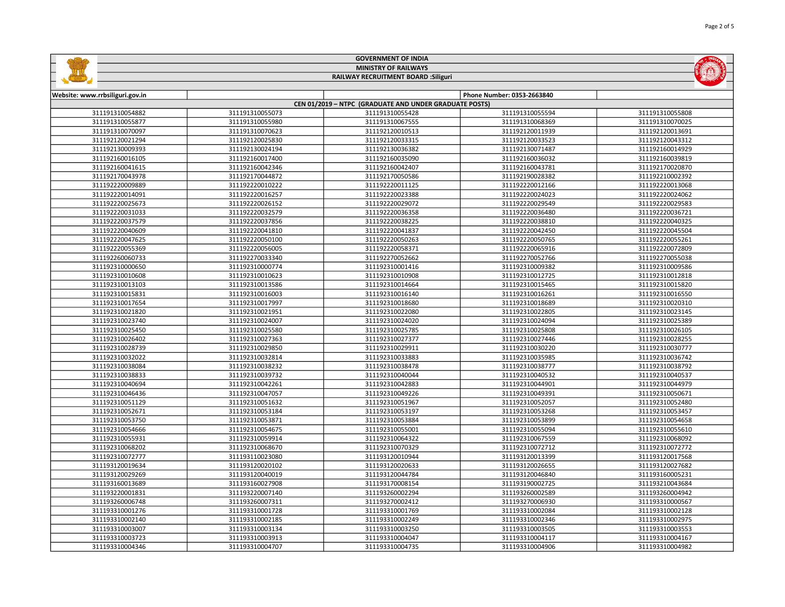| <b>GOVERNMENT OF INDIA</b>  |                                             |  |  |                            |  |  |
|-----------------------------|---------------------------------------------|--|--|----------------------------|--|--|
| <b>MINISTRY OF RAILWAYS</b> |                                             |  |  |                            |  |  |
|                             | <b>RAILWAY RECRUITMENT BOARD : Siliguri</b> |  |  |                            |  |  |
|                             |                                             |  |  |                            |  |  |
|                             | Website: www.rrbsiliguri.gov.in             |  |  | Phone Number: 0353-2663840 |  |  |

| CEN 01/2019 - NTPC (GRADUATE AND UNDER GRADUATE POSTS) |                 |                 |                 |                 |  |
|--------------------------------------------------------|-----------------|-----------------|-----------------|-----------------|--|
| 311191310054882                                        | 311191310055073 | 311191310055428 | 311191310055594 | 311191310055808 |  |
| 311191310055877                                        | 311191310055980 | 311191310067555 | 311191310068369 | 311191310070025 |  |
| 311191310070097                                        | 311191310070623 | 311192120010513 | 311192120011939 | 311192120013691 |  |
| 311192120021294                                        | 311192120025830 | 311192120033315 | 311192120033523 | 311192120043312 |  |
| 311192130009393                                        | 311192130024194 | 311192130036382 | 311192130071487 | 311192160014929 |  |
| 311192160016105                                        | 311192160017400 | 311192160035090 | 311192160036032 | 311192160039819 |  |
| 311192160041615                                        | 311192160042346 | 311192160042407 | 311192160043781 | 311192170020870 |  |
| 311192170043978                                        | 311192170044872 | 311192170050586 | 311192190028382 | 311192210002392 |  |
| 311192220009889                                        | 311192220010222 | 311192220011125 | 311192220012166 | 311192220013068 |  |
| 311192220014091                                        | 311192220016257 | 311192220023388 | 311192220024023 | 311192220024062 |  |
| 311192220025673                                        | 311192220026152 | 311192220029072 | 311192220029549 | 311192220029583 |  |
| 311192220031033                                        | 311192220032579 | 311192220036358 | 311192220036480 | 311192220036721 |  |
| 311192220037579                                        | 311192220037856 | 311192220038225 | 311192220038810 | 311192220040325 |  |
| 311192220040609                                        | 311192220041810 | 311192220041837 | 311192220042450 | 311192220045504 |  |
| 311192220047625                                        | 311192220050100 | 311192220050263 | 311192220050765 | 311192220055261 |  |
| 311192220055369                                        | 311192220056005 | 311192220058371 | 311192220065916 | 311192220072809 |  |
| 311192260060733                                        | 311192270033340 | 311192270052662 | 311192270052766 | 311192270055038 |  |
| 311192310000650                                        | 311192310000774 | 311192310001416 | 311192310009382 | 311192310009586 |  |
| 311192310010608                                        | 311192310010623 | 311192310010908 | 311192310012725 | 311192310012818 |  |
| 311192310013103                                        | 311192310013586 | 311192310014664 | 311192310015465 | 311192310015820 |  |
| 311192310015831                                        | 311192310016003 | 311192310016140 | 311192310016261 | 311192310016550 |  |
| 311192310017654                                        | 311192310017997 | 311192310018680 | 311192310018689 | 311192310020310 |  |
| 311192310021820                                        | 311192310021951 | 311192310022080 | 311192310022805 | 311192310023145 |  |
| 311192310023740                                        | 311192310024007 | 311192310024020 | 311192310024094 | 311192310025389 |  |
| 311192310025450                                        | 311192310025580 | 311192310025785 | 311192310025808 | 311192310026105 |  |
| 311192310026402                                        | 311192310027363 | 311192310027377 | 311192310027446 | 311192310028255 |  |
| 311192310028739                                        | 311192310029850 | 311192310029911 | 311192310030220 | 311192310030777 |  |
| 311192310032022                                        | 311192310032814 | 311192310033883 | 311192310035985 | 311192310036742 |  |
| 311192310038084                                        | 311192310038232 | 311192310038478 | 311192310038777 | 311192310038792 |  |
| 311192310038833                                        | 311192310039732 | 311192310040044 | 311192310040532 | 311192310040537 |  |
| 311192310040694                                        | 311192310042261 | 311192310042883 | 311192310044901 | 311192310044979 |  |
| 311192310046436                                        | 311192310047057 | 311192310049226 | 311192310049391 | 311192310050671 |  |
| 311192310051129                                        | 311192310051632 | 311192310051967 | 311192310052057 | 311192310052480 |  |
| 311192310052671                                        | 311192310053184 | 311192310053197 | 311192310053268 | 311192310053457 |  |
| 311192310053750                                        | 311192310053871 | 311192310053884 | 311192310053899 | 311192310054658 |  |
| 311192310054666                                        | 311192310054675 | 311192310055001 | 311192310055094 | 311192310055610 |  |
| 311192310055931                                        | 311192310059914 | 311192310064322 | 311192310067559 | 311192310068092 |  |
| 311192310068202                                        | 311192310068670 | 311192310070329 | 311192310072712 | 311192310072772 |  |
| 311192310072777                                        | 311193110023080 | 311193120010944 | 311193120013399 | 311193120017568 |  |
| 311193120019634                                        | 311193120020102 | 311193120020633 | 311193120026655 | 311193120027682 |  |
| 311193120029269                                        | 311193120040019 | 311193120044784 | 311193120046840 | 311193160005231 |  |
| 311193160013689                                        | 311193160027908 | 311193170008154 | 311193190002725 | 311193210043684 |  |
| 311193220001831                                        | 311193220007140 | 311193260002294 | 311193260002589 | 311193260004942 |  |
| 311193260006748                                        | 311193260007311 | 311193270002412 | 311193270006930 | 311193310000567 |  |
| 311193310001276                                        | 311193310001728 | 311193310001769 | 311193310002084 | 311193310002128 |  |
| 311193310002140                                        | 311193310002185 | 311193310002249 | 311193310002346 | 311193310002975 |  |
| 311193310003007                                        | 311193310003134 | 311193310003250 | 311193310003505 | 311193310003553 |  |
| 311193310003723                                        | 311193310003913 | 311193310004047 | 311193310004117 | 311193310004167 |  |
| 311193310004346                                        | 311193310004707 | 311193310004735 | 311193310004906 | 311193310004982 |  |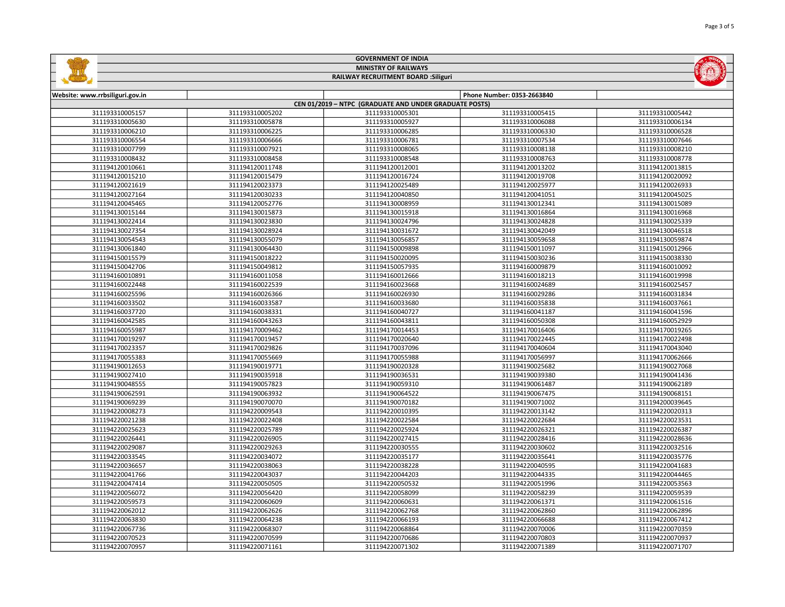|                                                        |                 | <b>GOVERNMENT OF INDIA</b>                  |                            |                 |  |
|--------------------------------------------------------|-----------------|---------------------------------------------|----------------------------|-----------------|--|
|                                                        |                 | <b>MINISTRY OF RAILWAYS</b>                 |                            |                 |  |
|                                                        |                 | <b>RAILWAY RECRUITMENT BOARD : Siliguri</b> |                            |                 |  |
|                                                        |                 |                                             |                            |                 |  |
| Website: www.rrbsiliguri.gov.in                        |                 |                                             | Phone Number: 0353-2663840 |                 |  |
| CEN 01/2019 - NTPC (GRADUATE AND UNDER GRADUATE POSTS) |                 |                                             |                            |                 |  |
| 311193310005157                                        | 311193310005202 | 311193310005301                             | 311193310005415            | 311193310005442 |  |
| 311193310005630                                        | 311193310005878 | 311193310005927                             | 311193310006088            | 311193310006134 |  |
| 311193310006210                                        | 311193310006225 | 311193310006285                             | 311193310006330            | 311193310006528 |  |

| 311193310005630 | 311193310005878 | 311193310005927 | 311193310006088 | 311193310006134 |
|-----------------|-----------------|-----------------|-----------------|-----------------|
| 311193310006210 | 311193310006225 | 311193310006285 | 311193310006330 | 311193310006528 |
| 311193310006554 | 311193310006666 | 311193310006781 | 311193310007534 | 311193310007646 |
| 311193310007799 | 311193310007921 | 311193310008065 | 311193310008138 | 311193310008210 |
| 311193310008432 | 311193310008458 | 311193310008548 | 311193310008763 | 311193310008778 |
| 311194120010661 | 311194120011748 | 311194120012001 | 311194120013202 | 311194120013815 |
| 311194120015210 | 311194120015479 | 311194120016724 | 311194120019708 | 311194120020092 |
| 311194120021619 | 311194120023373 | 311194120025489 | 311194120025977 | 311194120026933 |
| 311194120027164 | 311194120030233 | 311194120040850 | 311194120041051 | 311194120045025 |
| 311194120045465 | 311194120052776 | 311194130008959 | 311194130012341 | 311194130015089 |
| 311194130015144 | 311194130015873 | 311194130015918 | 311194130016864 | 311194130016968 |
| 311194130022414 | 311194130023830 | 311194130024796 | 311194130024828 | 311194130025339 |
| 311194130027354 | 311194130028924 | 311194130031672 | 311194130042049 | 311194130046518 |
| 311194130054543 | 311194130055079 | 311194130056857 | 311194130059658 | 311194130059874 |
| 311194130061840 | 311194130064430 | 311194150009898 | 311194150011097 | 311194150012966 |
| 311194150015579 | 311194150018222 | 311194150020095 | 311194150030236 | 311194150038330 |
| 311194150042706 | 311194150049812 | 311194150057935 | 311194160009879 | 311194160010092 |
| 311194160010891 | 311194160011058 | 311194160012666 | 311194160018213 | 311194160019998 |
| 311194160022448 | 311194160022539 | 311194160023668 | 311194160024689 | 311194160025457 |
| 311194160025596 | 311194160026366 | 311194160026930 | 311194160029286 | 311194160031834 |
| 311194160033502 | 311194160033587 | 311194160033680 | 311194160035838 | 311194160037661 |
| 311194160037720 | 311194160038331 | 311194160040727 | 311194160041187 | 311194160041596 |
| 311194160042585 | 311194160043263 | 311194160043811 | 311194160050308 | 311194160052929 |
| 311194160055987 | 311194170009462 | 311194170014453 | 311194170016406 | 311194170019265 |
| 311194170019297 | 311194170019457 | 311194170020640 | 311194170022445 | 311194170022498 |
| 311194170023357 | 311194170029826 | 311194170037096 | 311194170040604 | 311194170043040 |
| 311194170055383 | 311194170055669 | 311194170055988 | 311194170056997 | 311194170062666 |
| 311194190012653 | 311194190019771 | 311194190020328 | 311194190025682 | 311194190027068 |
| 311194190027410 | 311194190035918 | 311194190036531 | 311194190039380 | 311194190041436 |
| 311194190048555 | 311194190057823 | 311194190059310 | 311194190061487 | 311194190062189 |
| 311194190062591 | 311194190063932 | 311194190064522 | 311194190067475 | 311194190068151 |
| 311194190069239 | 311194190070070 | 311194190070182 | 311194190071002 | 311194200039645 |
| 311194220008273 | 311194220009543 | 311194220010395 | 311194220013142 | 311194220020313 |
| 311194220021238 | 311194220022408 | 311194220022584 | 311194220022684 | 311194220023531 |
| 311194220025623 | 311194220025789 | 311194220025924 | 311194220026321 | 311194220026387 |
| 311194220026441 | 311194220026905 | 311194220027415 | 311194220028416 | 311194220028636 |
| 311194220029087 | 311194220029263 | 311194220030555 | 311194220030602 | 311194220032516 |
| 311194220033545 | 311194220034072 | 311194220035177 | 311194220035641 | 311194220035776 |
| 311194220036657 | 311194220038063 | 311194220038228 | 311194220040595 | 311194220041683 |
| 311194220041766 | 311194220043037 | 311194220044203 | 311194220044335 | 311194220044465 |
| 311194220047414 | 311194220050505 | 311194220050532 | 311194220051996 | 311194220053563 |
| 311194220056072 | 311194220056420 | 311194220058099 | 311194220058239 | 311194220059539 |
| 311194220059573 | 311194220060609 | 311194220060631 | 311194220061371 | 311194220061516 |
| 311194220062012 | 311194220062626 | 311194220062768 | 311194220062860 | 311194220062896 |
| 311194220063830 | 311194220064238 | 311194220066193 | 311194220066688 | 311194220067412 |
| 311194220067736 | 311194220068307 | 311194220068864 | 311194220070006 | 311194220070359 |
| 311194220070523 | 311194220070599 | 311194220070686 | 311194220070803 | 311194220070937 |
| 311194220070957 | 311194220071161 | 311194220071302 | 311194220071389 | 311194220071707 |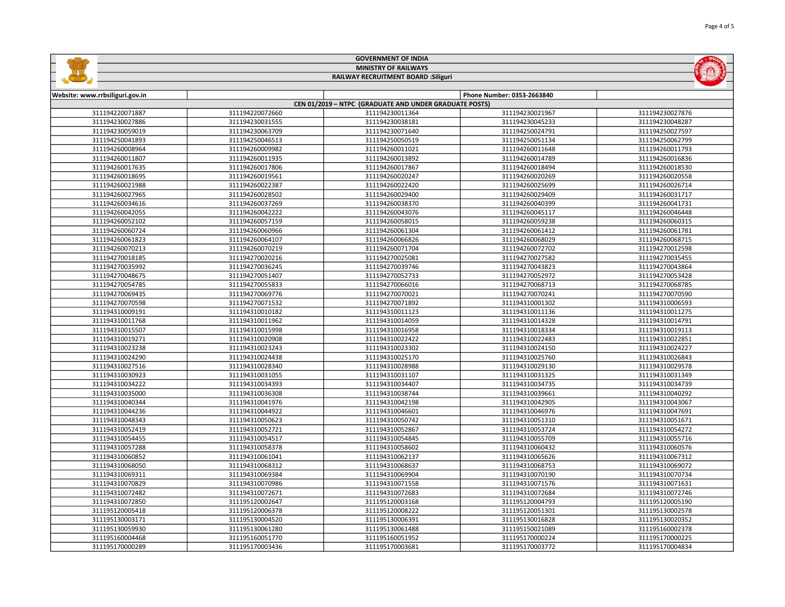| <b>GOVERNMENT OF INDIA</b>                  |
|---------------------------------------------|
| <b>MINISTRY OF RAILWAYS</b>                 |
| <b>RAILWAY RECRUITMENT BOARD : Siliguri</b> |
|                                             |

E

| Website: www.rrbsiliguri.gov.in                        |                 |                 | Phone Number: 0353-2663840 |                 |  |
|--------------------------------------------------------|-----------------|-----------------|----------------------------|-----------------|--|
| CEN 01/2019 - NTPC (GRADUATE AND UNDER GRADUATE POSTS) |                 |                 |                            |                 |  |
| 311194220071887                                        | 311194220072660 | 311194230011364 | 311194230021967            | 311194230027876 |  |
| 311194230027886                                        | 311194230031555 | 311194230038181 | 311194230045233            | 311194230048287 |  |
| 311194230059019                                        | 311194230063709 | 311194230071640 | 311194250024791            | 311194250027597 |  |
| 311194250041893                                        | 311194250046513 | 311194250050519 | 311194250051134            | 311194250062799 |  |
| 311194260008964                                        | 311194260009982 | 311194260011021 | 311194260011648            | 311194260011793 |  |
| 311194260011807                                        | 311194260011935 | 311194260013892 | 311194260014789            | 311194260016836 |  |
| 311194260017635                                        | 311194260017806 | 311194260017867 | 311194260018494            | 311194260018530 |  |
| 311194260018695                                        | 311194260019561 | 311194260020247 | 311194260020269            | 311194260020558 |  |
| 311194260021988                                        | 311194260022387 | 311194260022420 | 311194260025699            | 311194260026714 |  |
| 311194260027965                                        | 311194260028502 | 311194260029400 | 311194260029409            | 311194260031717 |  |
| 311194260034616                                        | 311194260037269 | 311194260038370 | 311194260040399            | 311194260041731 |  |
| 311194260042055                                        | 311194260042222 | 311194260043076 | 311194260045117            | 311194260046448 |  |
| 311194260052102                                        | 311194260057159 | 311194260058015 | 311194260059238            | 311194260060315 |  |
| 311194260060724                                        | 311194260060966 | 311194260061304 | 311194260061412            | 311194260061781 |  |
| 311194260061823                                        | 311194260064107 | 311194260066826 | 311194260068029            | 311194260068715 |  |
| 311194260070213                                        | 311194260070219 | 311194260071704 | 311194260072702            | 311194270012598 |  |
| 311194270018185                                        | 311194270020216 | 311194270025081 | 311194270027582            | 311194270035455 |  |
| 311194270035992                                        | 311194270036245 | 311194270039746 | 311194270043823            | 311194270043864 |  |
| 311194270048675                                        | 311194270051407 | 311194270052733 | 311194270052972            | 311194270053428 |  |
| 311194270054785                                        | 311194270055833 | 311194270066016 | 311194270068713            | 311194270068785 |  |
| 311194270069435                                        | 311194270069776 | 311194270070021 | 311194270070241            | 311194270070590 |  |
| 311194270070598                                        | 311194270071532 | 311194270071892 | 311194310001302            | 311194310006593 |  |
| 311194310009191                                        | 311194310010182 | 311194310011123 | 311194310011136            | 311194310011275 |  |
| 311194310011768                                        | 311194310011962 | 311194310014059 | 311194310014328            | 311194310014791 |  |
| 311194310015507                                        | 311194310015998 | 311194310016958 | 311194310018334            | 311194310019113 |  |
| 311194310019271                                        | 311194310020908 | 311194310022422 | 311194310022483            | 311194310022851 |  |
| 311194310023238                                        | 311194310023243 | 311194310023302 | 311194310024150            | 311194310024227 |  |
| 311194310024290                                        | 311194310024438 | 311194310025170 | 311194310025760            | 311194310026843 |  |
| 311194310027516                                        | 311194310028340 | 311194310028988 | 311194310029130            | 311194310029578 |  |
| 311194310030923                                        | 311194310031055 | 311194310031107 | 311194310031325            | 311194310031349 |  |
| 311194310034222                                        | 311194310034393 | 311194310034407 | 311194310034735            | 311194310034739 |  |
| 311194310035000                                        | 311194310036308 | 311194310038744 | 311194310039661            | 311194310040292 |  |
| 311194310040344                                        | 311194310041976 | 311194310042198 | 311194310042905            | 311194310043067 |  |
| 311194310044236                                        | 311194310044922 | 311194310046601 | 311194310046976            | 311194310047691 |  |
| 311194310048343                                        | 311194310050623 | 311194310050742 | 311194310051310            | 311194310051671 |  |
| 311194310052419                                        | 311194310052721 | 311194310052867 | 311194310053724            | 311194310054272 |  |
| 311194310054455                                        | 311194310054517 | 311194310054845 | 311194310055709            | 311194310055716 |  |
| 311194310057288                                        | 311194310058378 | 311194310058602 | 311194310060432            | 311194310060576 |  |
| 311194310060852                                        | 311194310061041 | 311194310062137 | 311194310065626            | 311194310067312 |  |
| 311194310068050                                        | 311194310068312 | 311194310068637 | 311194310068753            | 311194310069072 |  |
| 311194310069311                                        | 311194310069384 | 311194310069904 | 311194310070190            | 311194310070734 |  |
| 311194310070829                                        | 311194310070986 | 311194310071558 | 311194310071576            | 311194310071631 |  |
| 311194310072482                                        | 311194310072671 | 311194310072683 | 311194310072684            | 311194310072746 |  |
| 311194310072850                                        | 311195120002647 | 311195120003168 | 311195120004793            | 311195120005190 |  |
| 311195120005418                                        | 311195120006378 | 311195120008222 | 311195120051301            | 311195130002578 |  |
| 311195130003171                                        | 311195130004520 | 311195130006391 | 311195130016828            | 311195130020352 |  |
| 311195130059930                                        | 311195130061280 | 311195130061488 | 311195150021089            | 311195160002378 |  |
| 311195160004468                                        | 311195160051770 | 311195160051952 | 311195170000224            | 311195170000225 |  |
| 311195170000289                                        | 311195170003436 | 311195170003681 | 311195170003772            | 311195170004834 |  |

**CALINDARY**